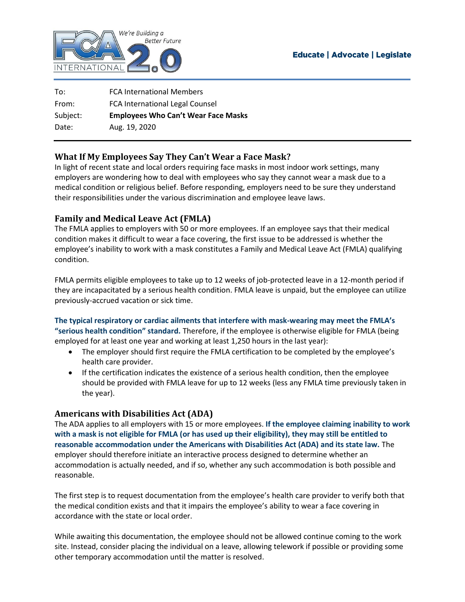

| To:      | <b>FCA International Members</b>           |
|----------|--------------------------------------------|
| From:    | FCA International Legal Counsel            |
| Subject: | <b>Employees Who Can't Wear Face Masks</b> |
| Date:    | Aug. 19, 2020                              |
|          |                                            |

# **What If My Employees Say They Can't Wear a Face Mask?**

In light of recent state and local orders requiring face masks in most indoor work settings, many employers are wondering how to deal with employees who say they cannot wear a mask due to a medical condition or religious belief. Before responding, employers need to be sure they understand their responsibilities under the various discrimination and employee leave laws.

## **Family and Medical Leave Act (FMLA)**

The FMLA applies to employers with 50 or more employees. If an employee says that their medical condition makes it difficult to wear a face covering, the first issue to be addressed is whether the employee's inability to work with a mask constitutes a Family and Medical Leave Act (FMLA) qualifying condition.

FMLA permits eligible employees to take up to 12 weeks of job-protected leave in a 12-month period if they are incapacitated by a serious health condition. FMLA leave is unpaid, but the employee can utilize previously-accrued vacation or sick time.

**The typical respiratory or cardiac ailments that interfere with mask-wearing may meet the FMLA's "serious health condition" standard.** Therefore, if the employee is otherwise eligible for FMLA (being employed for at least one year and working at least 1,250 hours in the last year):

- The employer should first require the FMLA certification to be completed by the employee's health care provider.
- If the certification indicates the existence of a serious health condition, then the employee should be provided with FMLA leave for up to 12 weeks (less any FMLA time previously taken in the year).

### **Americans with Disabilities Act (ADA)**

The ADA applies to all employers with 15 or more employees. **If the employee claiming inability to work with a mask is not eligible for FMLA (or has used up their eligibility), they may still be entitled to reasonable accommodation under the Americans with Disabilities Act (ADA) and its state law.** The employer should therefore initiate an interactive process designed to determine whether an accommodation is actually needed, and if so, whether any such accommodation is both possible and reasonable.

The first step is to request documentation from the employee's health care provider to verify both that the medical condition exists and that it impairs the employee's ability to wear a face covering in accordance with the state or local order.

While awaiting this documentation, the employee should not be allowed continue coming to the work site. Instead, consider placing the individual on a leave, allowing telework if possible or providing some other temporary accommodation until the matter is resolved.